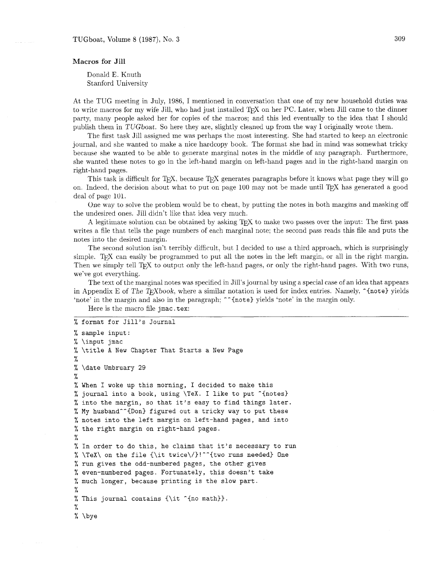#### Macros for Jill

Donald E. Knuth Stanford University

At the TUG meeting in July, 1986, I mentioned in conversation that one of my new household duties was to write macros for my wife Jill, who had just installed T<sub>F</sub>X on her PC. Later, when Jill came to the dinner party, many people asked her for copies of the macros; and this led eventually to the idea that I should publish them in TUGboat. So here they are, slightly cleaned up from the way I originally wrote them.

The first task Jill assigned me was perhaps the rnost interesting. She had started to keep an electronic journal, and she wanted to make a nice hardcopy book. The format she had in mind was somewhat tricky because she wanted to be able to generate marginal notes in the middle of any paragraph. Furthermore, she wanted these notes to go in the left-hand margin on left-hand pages and in the right-hand margin on right-hand pages.

This task is difficult for TEX, because TEX generates paragraphs before it knows what page they will go on. Indeed, the decision about what to put on page 100 may not be made until TEX has generated a good deal of page 101.

One way to solve the problem would be to cheat, by putting the notes in both margins and masking off the undesired ones. Jill didn't like that idea very much.

A legitimate solution can be obtained by asking TEX to nmke two passes over the input: The first pass writes a file that tells the page numbers of each marginal note; the second pass reads this file and puts the notes into the desired margin.

The second solution isn't terribly difficult, but I decided to use a third approach, which is surprisingly simple. T<sub>F</sub>X can easily be programmed to put all the notes in the left margin, or all in the right margin. Then we simply tell TEX to output only the left-hand pages, or only the right-hand pages. With two runs, we've got everything.

The text of the rnarginal notes was specified in Jill's journal by using a special case of an idea that appears in Appendix E of The T<sub>F</sub>Xbook, where a similar notation is used for index entries. Namely,  $\hat{}$ fnotel yields 'note' in the margin and also in the paragraph;  $\hat{\ }$  note) yields 'note' in the margin only.

Here is the macro file jmac.tex:

```
% format for Jill's Journal
% sample input:
% \input jmac
\title A New Chapter That Starts a New Page 
%
% \date Umbruary 29
%
% When I woke up this morning, I decided to make this
% journal into a book, using \TeX. I like to put ^{notes}
% into the margin, so that it's easy to find things later.
% My husband<sup>--</sup>{Don} figured out a tricky way to put these
notes into the left margin on left-hand pages, and into 
% the right margin on right-hand pages.
%
In order to do this, he claims that it's necessary to run 
\sqrt{\text{TEX}} on the file {\it twice\/}!^^{two runs needed} One
% run gives the odd-numbered pages, the other gives
even-numbered pages. Fortunately, this doesn't take 
much longer, because printing is the slow part. 
%
% This journal contains \{\it it\ -{no math}}.
%
% \bye
```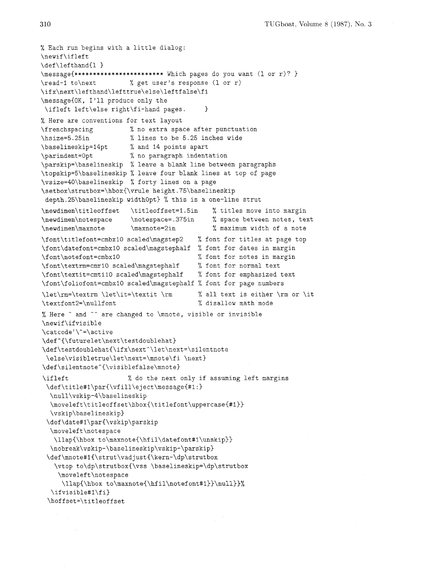```
% Each run begins with a little dialog: 
\newif\ifleft 
\def\lefthand{1 }
\message{********************* Which pages do you want (1 or r)? } 
\read-1 to\next % get user's response (1 or r) 
\ifx\next\lefthand\lefttrue\else\leftfalse\fi 
\message{OK, I'll produce only the 
\ifleft left\else right\fi-hand pages. 1 
% Here are conventions for text layout 
\frenchspacing \% no extra space after punctuation
\hsize=5 .25in % lines to be 5.25 inches wide 
\baselineskip=14pt % and 14 points apart 
\parindent=Opt % no paragraph indentation 
\parskip=\baselineskip % leave a blank line between paragraphs 
\topskip=5\baselineskip % leave four blank lines at top of page 
\vsize=40\baselineskip % forty lines on a page 
\setbox\strutbox=\hbox{\vrule height.75\baselineskip
 depth.25\baselineskip widthopt) % this is a one-line strut 
\newdimen\titleoffset \titleoffset=1.5in % titles move into margin 
\newdimen\not espace \notespace=.375in % space between notes, text 
\newdimen\maxnote \maxnote=2in % maximum width of a note 
\font\titlefont=cmbxlO scaled\magstep2 % font for titles at page top 
\font\datefont=cmbxlO scaled\magstephalf % font for dates in margin 
\font\notefont=cmbxlO % font for notes in margin 
\f ont\textrm=cmrlO scaled\magstephalf % font for normal text 
\font\textit=cmtilO scaled\magstephalf % font for emphasized text 
\font\foliofont=cmbx10 scaled\magstephalf % font for page numbers 
\let\rm\ \let\it\ \texttt{t}\textfont2=\nullfont % disallow math mode 
% Here \hat{ } and \hat{ } are changed to \mnote, visible or invisible
\newif\ifvisible 
\catcode'\^=\active 
\def^{\futurelet\next\testdoublehat}
\def\testdoublehat{\ifx\next~\let\next=\silentnote 
 \else\visibletrue\let\next=\mnote\fi \next) 
\def\silentnote^{\visiblefalse\mnote}
\if left % do the next only if assuming left margins 
 \def\title#1\par{\vfill\eject\message{#1:}
  \null\vskip-4\baselineskip 
  \moveleft\titleoffset\hbox{\titlefont\uppercase{#1}}
  \vskip\baselineskip> 
 \def\date#l\par{\vskip\parskip 
  \moveleft\notespace 
   \llapC\hbox to\maxnote~\hfil\datefont#l\unskip~) 
  \nobreak\vskip-\baselineskip\vskip-\parskip} 
 \label{thm:main} $$\def\mnot\{xstrut\vadjust{\kern-\dph\strut\partial x}$$\vtop to\dp\strutbox{\vss \baselineskip=\dp\strutbox
    \moveleft\notespace 
     \label{hbox} $$\llp{\hbox{c}max\not{{\bf{r}}\not=\{1}}\nul1}$$\ifvisible#l\fi) 
 \hoffset=\titleoffset
```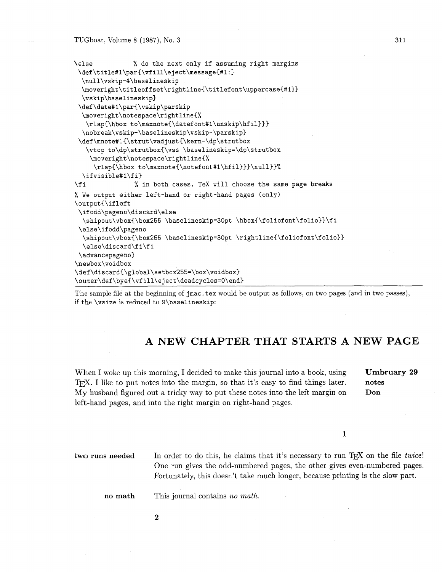```
\else '/, do the next only if assuming right margins 
 \def\title#l\par{\vfill\eject\message{#l:) 
 \null\vskip-4\baselineskip 
 \moveright\titleoffset\rightline(\titlefont\uppercase{#l)~ 
 \vskip\baselineskip) 
 \def\date#l\par{\vskip\parskip 
  \moveright\notespace\rightline{% 
  \rlap{\hbox to\maxnote{\datefont#1\unskip\hfil}}}
  \nobreak\vskip-\baselineskip\vskip-\parskip) 
 \def\mnote#1{\strut\vadjust{\kern-\dp\strutbox
   \vtop to\dp\strutboxC\vss \baselineskip=\dp\strutbox 
    \moveright\notespace\rightline{% 
     \rlap{\hbox to\maxnote{\notefont#1\hfil}}}\null}}%
  \ifvisible#l\fi] 
\fi % in both cases, TeX will choose the same page breaks 
% We output either left-hand or right-hand pages (only) 
\output{\ifleft 
 \if odd\pageno\discard\else 
  \shipout\vbox{\box255 \baselineskip=30pt \hbox{\foliofont\folio))\fi 
 \else\ifodd\pageno 
  \shipout\vbox{\box255 \baselineskip=30pt \rightline{\foliofont\folio)) 
  \else\discard\fi\fi 
 \advancepageno) 
\newbox\voidbox 
\def\discard{\global\setbox255=\box\voidbox}
\outer\def\bye{\vfill\eject\deadcycles=O\end~
```
The sample file at the beginning of jmac. tex would be output as follows, on two pages (and in two passes), if the \vsize is reduced to S\baselineskip:

## **A NEW CHAPTER THAT STARTS A NEW PAGE**

When I woke up this morning, I decided to make this journal into a book, using **Umbruary 29**  T<sub>E</sub>X. I like to put notes into the margin, so that it's easy to find things later. **notes Mv** husband figured out a tricky way to put these notes into the left margin on **Don** My husband figured out a tricky way to put these notes into the left margin on left-hand pages, and into the right margin on right-hand pages.

 $\mathbf{1}$ 

**two runs needed** In order to do this, he claims that it's necessary to run TEX on the file *twice*! One run gives the odd-numbered pages, the other gives even-numbered pages. Fortunately, this doesn't take much longer, because printing is the slow part.

**no math** This journal contains no math.

 $\mathbf{2}$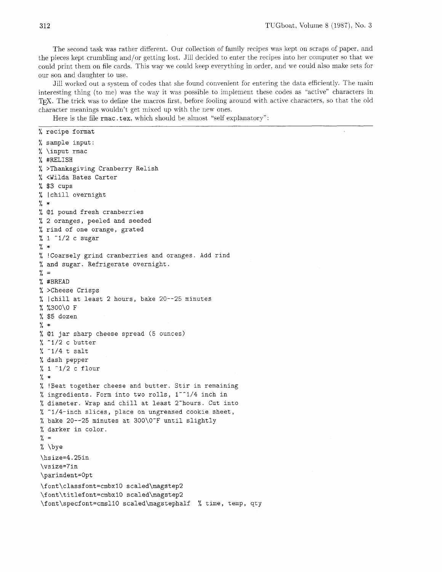The second task was rather different. Our collection of farnily recipes was kept on scraps of paper. and the pieces kept crumbling and/or getting lost. Jill decided to enter the recipes into her computer so that we could print them on file cards. This way we could keep everything in order. and we could also make sets for our son and daughter to use.

Jill worked out a system of codes that she found convenient for entering the data efficiently. The main interesting thing (to me) was the way it was possible to implement these codes as "active" characters in T<sub>FX</sub>. The trick was to define the macros first, before fooling around with active characters, so that the old character meanings wouldn't get mixed up with the new ones.

Here is the file rmac. tex, which should be almost "self explanatory":

% recipe format sample input: % \input rmac #RELISH >Thanksgiving Cranberry Relish % <Wilda Bates Carter **\$3** cups % (chill overnight  $\frac{9}{6}$  \* % @1 pound fresh cranberries % 2 oranges, peeled and seeded % rind of one orange, grated  $% 1$   $1/2$  c sugar  $\frac{9}{6}$  \* !Coarsely grind cranberries and oranges. Add rind % and sugar. Refrigerate overnight.  $\frac{9}{6}$  = #BREAD >Cheese Crisps % | chill at least 2 hours, bake 20--25 minutes %%300\0 F % \$5 dozen \* % 01 jar sharp cheese spread (5 ounces)  $%$   $1/2$  c butter  $\frac{9}{6}$   $\frac{1}{4}$  t salt % dash pepper  $% 1$   $1/2$  c flour  $\frac{9}{6}$  \* !Beat together cheese and butter. Stir in remaining % ingredients. Form into two rolls,  $1^{2}$ 1/4 inch in diameter. Wrap and chill at least 2-hours. Cut into % <sup>1/4-inch</sup> slices, place on ungreased cookie sheet, % bake 20--25 minutes at 300\0"F until slightly % darker in color.  $\% =$  $%$  \bye \hsize=4.25in \vsize=7in \parindent=Opt \font\classfont=cmbx10 scaled\magstep2 \font\titlefont=cmbxlO scaled\magstep2 \font\specfont=cmsllO scaled\magstephalf % time, temp, qry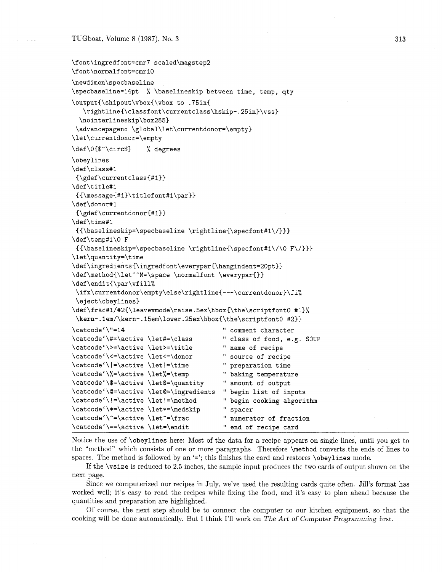```
\font\ingredfont=cmr7 scaled\magstep2 
\font\normalfont=cmrlO 
\newdimen\specbaseline 
\specbaseline=14pt % \baselineskip between time, temp, qty 
\output{\shipout\vboxi\vbox to .75in{ 
  \rightline{\classfont\currentclass\hskip-.25in}\vss}
 \nointerlineskip\box255) 
 \advancepageno \global\let\currentdonor=\empty) 
\let\currentdonor=\empty 
\def \O{$^\circ$) % degrees 
\obeylines 
\def \class#l 
 {\gdef\currentclassC#l)) 
\def\title#l 
 {\{\n    message{#1}\times#1\}\def\donor#l 
 (\gdef\currentdonor{#1)) 
\def\time#l 
 {{\baselineskip=\specbaseline \rightline{\specfont#l\/))) 
\def\temp#l\O F 
 CC\baselineskip=\specbaseline \rightline{\specfont#l\/\O F\/))) 
\let\quantity=\time 
\def\ingredients{\ingredfont\everypari\hangindent=2Opt)) 
\def\method{\let^-M=\space \normalfont \everypar{)) 
\def\endit{\par\vfill% 
\ifx\currentdonor\empty\else\rightline{---\currentdonor}\fi%
 \eject\obeylines) 
\def\frac#1/#2{\leavevmode\raise.5ex\hbox{\the\scriptfont0 #1}%
 \kern-.lem/\kern-.15em\lower.25ex\hbox{\the\scriptfontO #2)) 
\text{Catcode'} =14 fa comment character
\catcode ' \#=\active \let#=\class " class of food, e.g. SOUP
\catcode' \>=\active \let>=\title " name of recipe
\catcode'\<=\active \let<=\donor I' source of recipe 
\catcode'\ l =\active \let l=\time " preparation time 
\catcodef\%=\active \let%=\temp " baking temperature 
\catcode'\$=\active \let$=\quantity " amount of output 
\catcode'\@=\active \let@=\ingredients 'I begin list of inputs 
\catcode'\! =\active \let !=\method " begin cooking algorithm 
\catcodef\*=\active \let*=\medskip " spacer 
\catcode'\^=\active \let^=\frac " numerator of fraction
\catcode'\==\active \let=\endit " end of recipe card
```
Notice the use of \obeylines here: Most of the data for a recipe appears on single lines, until you get to the "method" which consists of one or more paragraphs. Therefore \method converts the ends of lines to spaces. The method is followed by an '='; this finishes the card and restores \obeylines mode.

If the \vsize is reduced to 2.5 inches, the sample input produces the two cards of output shown on the next page.

Since we computerized our recipes in July, we've used the resulting cards quite often. Jill's format has worked well; it's easy to read the recipes while fixing the food, and it's easy to plan ahead because the quantities and preparation are highlighted.

Of course, the next step should be to connect the computer to our kitchen equipment, so that the cooking will be done automatically. But I think I'll work on The Art of Computer Programming first.